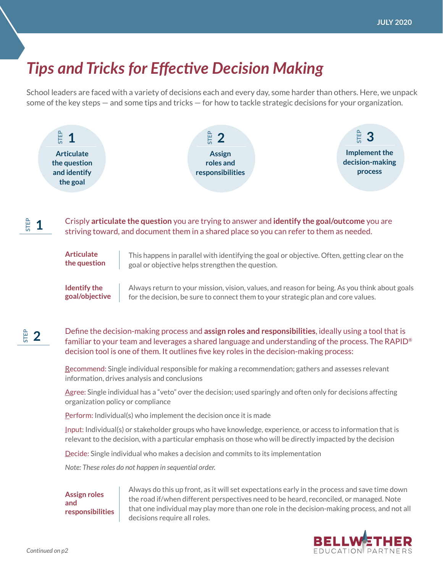## *Tips and Tricks for Effective Decision Making*

School leaders are faced with a variety of decisions each and every day, some harder than others. Here, we unpack some of the key steps — and some tips and tricks — for how to tackle strategic decisions for your organization.



striving toward, and document them in a shared place so you can refer to them as needed.

**Articulate the question** This happens in parallel with identifying the goal or objective. Often, getting clear on the goal or objective helps strengthen the question.

Always return to your mission, vision, values, and reason for being. As you think about goals for the decision, be sure to connect them to your strategic plan and core values. **Identify the goal/objective**

## Define the decision-making process and **assign roles and responsibilities**, ideally using a tool that is familiar to your team and leverages a shared language and understanding of the process. The RAPID® decision tool is one of them. It outlines five key roles in the decision-making process: **STEP 2**

Recommend: Single individual responsible for making a recommendation; gathers and assesses relevant information, drives analysis and conclusions

Agree: Single individual has a "veto" over the decision; used sparingly and often only for decisions affecting organization policy or compliance

Perform: Individual(s) who implement the decision once it is made

Input: Individual(s) or stakeholder groups who have knowledge, experience, or access to information that is relevant to the decision, with a particular emphasis on those who will be directly impacted by the decision

Decide: Single individual who makes a decision and commits to its implementation

*Note: These roles do not happen in sequential order.*

**Assign roles and responsibilities** Always do this up front, as it will set expectations early in the process and save time down the road if/when different perspectives need to be heard, reconciled, or managed. Note that one individual may play more than one role in the decision-making process, and not all decisions require all roles.